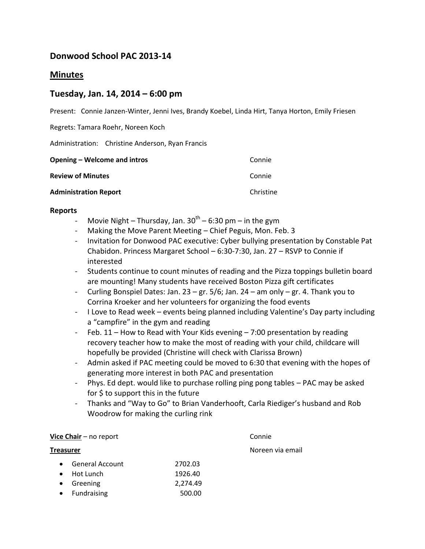# **Donwood School PAC 2013-14**

## **Minutes**

## **Tuesday, Jan. 14, 2014 – 6:00 pm**

Present: Connie Janzen-Winter, Jenni Ives, Brandy Koebel, Linda Hirt, Tanya Horton, Emily Friesen

Regrets: Tamara Roehr, Noreen Koch

Administration: Christine Anderson, Ryan Francis

| Opening – Welcome and intros | Connie    |
|------------------------------|-----------|
| <b>Review of Minutes</b>     | Connie    |
| <b>Administration Report</b> | Christine |

## **Reports**

- Movie Night Thursday, Jan. 30<sup>th</sup> 6:30 pm in the gym
- Making the Move Parent Meeting Chief Peguis, Mon. Feb. 3
- Invitation for Donwood PAC executive: Cyber bullying presentation by Constable Pat Chabidon. Princess Margaret School – 6:30-7:30, Jan. 27 – RSVP to Connie if interested
- Students continue to count minutes of reading and the Pizza toppings bulletin board are mounting! Many students have received Boston Pizza gift certificates
- Curling Bonspiel Dates: Jan.  $23 gr. 5/6$ ; Jan.  $24 am$  only  $gr. 4$ . Thank you to Corrina Kroeker and her volunteers for organizing the food events
- I Love to Read week events being planned including Valentine's Day party including a "campfire" in the gym and reading
- Feb. 11 How to Read with Your Kids evening 7:00 presentation by reading recovery teacher how to make the most of reading with your child, childcare will hopefully be provided (Christine will check with Clarissa Brown)
- Admin asked if PAC meeting could be moved to 6:30 that evening with the hopes of generating more interest in both PAC and presentation
- Phys. Ed dept. would like to purchase rolling ping pong tables PAC may be asked for \$ to support this in the future
- Thanks and "Way to Go" to Brian Vanderhooft, Carla Riediger's husband and Rob Woodrow for making the curling rink

## **Vice Chair** – no report Connie

# General Account 2702.03 Hot Lunch 1926.40 Greening 2,274.49 Fundraising 500.00

**Treasurer Note and American Contract Contract Contract Contract Contract Contract Contract Contract Contract Contract Contract Contract Contract Contract Contract Contract Contract Contract Contract Contract Contract Co**